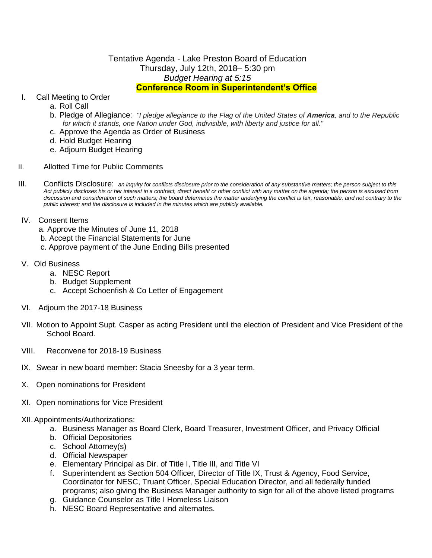## Tentative Agenda - Lake Preston Board of Education Thursday, July 12th, 2018– 5:30 pm *Budget Hearing at 5:15* **Conference Room in Superintendent's Office**

## I. Call Meeting to Order

- a. Roll Call
- b. Pledge of Allegiance: *"I pledge allegiance to the Flag of the United States of America, and to the Republic for which it stands, one Nation under God, indivisible, with liberty and justice for all."*
- c. Approve the Agenda as Order of Business
- d. Hold Budget Hearing
- e. Adjourn Budget Hearing
- II. Allotted Time for Public Comments
- III. Conflicts Disclosure: *an inquiry for conflicts disclosure prior to the consideration of any substantive matters; the person subject to this Act publicly discloses his or her interest in a contract, direct benefit or other conflict with any matter on the agenda; the person is excused from discussion and consideration of such matters; the board determines the matter underlying the conflict is fair, reasonable, and not contrary to the public interest; and the disclosure is included in the minutes which are publicly available.*
- IV. Consent Items
	- a. Approve the Minutes of June 11, 2018
	- b. Accept the Financial Statements for June
	- c. Approve payment of the June Ending Bills presented
- V. Old Business
	- a. NESC Report
	- b. Budget Supplement
	- c. Accept Schoenfish & Co Letter of Engagement
- VI. Adjourn the 2017-18 Business
- VII. Motion to Appoint Supt. Casper as acting President until the election of President and Vice President of the School Board.
- VIII. Reconvene for 2018-19 Business
- IX. Swear in new board member: Stacia Sneesby for a 3 year term.
- X. Open nominations for President
- XI. Open nominations for Vice President

## XII.Appointments/Authorizations:

- a. Business Manager as Board Clerk, Board Treasurer, Investment Officer, and Privacy Official
- b. Official Depositories
- c. School Attorney(s)
- d. Official Newspaper
- e. Elementary Principal as Dir. of Title I, Title III, and Title VI
- f. Superintendent as Section 504 Officer, Director of Title IX, Trust & Agency, Food Service, Coordinator for NESC, Truant Officer, Special Education Director, and all federally funded programs; also giving the Business Manager authority to sign for all of the above listed programs
- g. Guidance Counselor as Title I Homeless Liaison
- h. NESC Board Representative and alternates.